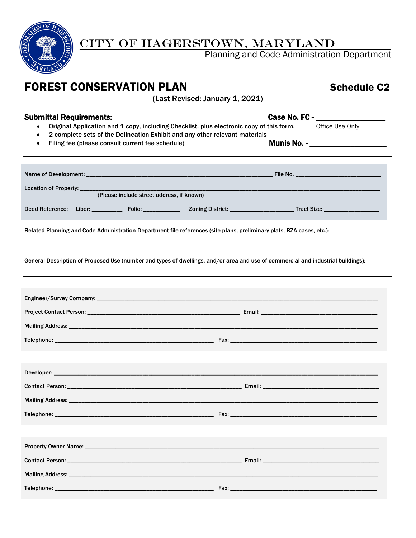

### CITY OF HAGERSTOWN, MARYLAND

Planning and Code Administration Department

## **FOREST CONSERVATION PLAN** SChedule C2

(Last Revised: January 1, 2021)

- Submittal Requirements:<br>
 Original Application and 1 copy, including Checklist, plus electronic copy of this form.<br>
Office Use Only • Original Application and 1 copy, including Checklist, plus electronic copy of this form.
	- 2 complete sets of the Delineation Exhibit and any other relevant materials
	- Filing fee (please consult current fee schedule) Munis No. \_\_\_\_\_\_\_\_\_\_\_\_\_\_\_\_\_

|                 |        | (Please include street address, if known) |  |                                         |  |
|-----------------|--------|-------------------------------------------|--|-----------------------------------------|--|
| Deed Reference: | Liber: | Folio: <b>All Provides Contracts</b>      |  | Tract Size: <u>____________________</u> |  |

Related Planning and Code Administration Department file references (site plans, preliminary plats, BZA cases, etc.):

General Description of Proposed Use (number and types of dwellings, and/or area and use of commercial and industrial buildings):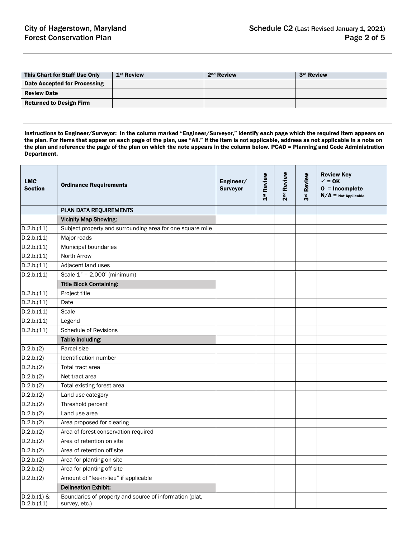| This Chart for Staff Use Only  | 1 <sup>st</sup> Review | 2 <sup>nd</sup> Review | 3rd Review |
|--------------------------------|------------------------|------------------------|------------|
| Date Accepted for Processing   |                        |                        |            |
| <b>Review Date</b>             |                        |                        |            |
| <b>Returned to Design Firm</b> |                        |                        |            |

Instructions to Engineer/Surveyor: In the column marked "Engineer/Surveyor," identify each page which the required item appears on the plan. For items that appear on each page of the plan, use "All." If the item is not applicable, address as not applicable in a note on the plan and reference the page of the plan on which the note appears in the column below. PCAD = Planning and Code Administration Department.

| <b>LMC</b><br><b>Section</b> | <b>Ordinance Requirements</b>                                            | Engineer/<br><b>Surveyor</b> | 1st Review | Review<br>2 <sup>nd</sup> | Review<br>შrd | <b>Review Key</b><br>$\checkmark$ = 0K<br>$0 = Incomplete$<br>$N/A$ = Not Applicable |
|------------------------------|--------------------------------------------------------------------------|------------------------------|------------|---------------------------|---------------|--------------------------------------------------------------------------------------|
|                              | PLAN DATA REQUIREMENTS                                                   |                              |            |                           |               |                                                                                      |
|                              | <b>Vicinity Map Showing:</b>                                             |                              |            |                           |               |                                                                                      |
| D.2.b.(11)                   | Subject property and surrounding area for one square mile                |                              |            |                           |               |                                                                                      |
| D.2.b.(11)                   | Major roads                                                              |                              |            |                           |               |                                                                                      |
| D.2.b.(11)                   | Municipal boundaries                                                     |                              |            |                           |               |                                                                                      |
| D.2.b.(11)                   | North Arrow                                                              |                              |            |                           |               |                                                                                      |
| D.2.b.(11)                   | Adjacent land uses                                                       |                              |            |                           |               |                                                                                      |
| D.2.b.(11)                   | Scale $1" = 2,000'$ (minimum)                                            |                              |            |                           |               |                                                                                      |
|                              | <b>Title Block Containing:</b>                                           |                              |            |                           |               |                                                                                      |
| D.2.b.(11)                   | Project title                                                            |                              |            |                           |               |                                                                                      |
| D.2.b.(11)                   | Date                                                                     |                              |            |                           |               |                                                                                      |
| D.2.b.(11)                   | Scale                                                                    |                              |            |                           |               |                                                                                      |
| D.2.b.(11)                   | Legend                                                                   |                              |            |                           |               |                                                                                      |
| D.2.b.(11)                   | <b>Schedule of Revisions</b>                                             |                              |            |                           |               |                                                                                      |
|                              | Table including:                                                         |                              |            |                           |               |                                                                                      |
| D.2.b.(2)                    | Parcel size                                                              |                              |            |                           |               |                                                                                      |
| D.2.b.(2)                    | Identification number                                                    |                              |            |                           |               |                                                                                      |
| D.2.b.(2)                    | Total tract area                                                         |                              |            |                           |               |                                                                                      |
| D.2.b.(2)                    | Net tract area                                                           |                              |            |                           |               |                                                                                      |
| D.2.b.(2)                    | Total existing forest area                                               |                              |            |                           |               |                                                                                      |
| D.2.b.(2)                    | Land use category                                                        |                              |            |                           |               |                                                                                      |
| D.2.b.(2)                    | Threshold percent                                                        |                              |            |                           |               |                                                                                      |
| D.2.b.(2)                    | Land use area                                                            |                              |            |                           |               |                                                                                      |
| D.2.b.(2)                    | Area proposed for clearing                                               |                              |            |                           |               |                                                                                      |
| D.2.b.(2)                    | Area of forest conservation required                                     |                              |            |                           |               |                                                                                      |
| D.2.b.(2)                    | Area of retention on site                                                |                              |            |                           |               |                                                                                      |
| D.2.b.(2)                    | Area of retention off site                                               |                              |            |                           |               |                                                                                      |
| D.2.b.(2)                    | Area for planting on site                                                |                              |            |                           |               |                                                                                      |
| D.2.b.(2)                    | Area for planting off site                                               |                              |            |                           |               |                                                                                      |
| D.2.b.(2)                    | Amount of "fee-in-lieu" if applicable                                    |                              |            |                           |               |                                                                                      |
|                              | <b>Delineation Exhibit:</b>                                              |                              |            |                           |               |                                                                                      |
| $D.2.b.(1)$ &<br>D.2.b.(11)  | Boundaries of property and source of information (plat,<br>survey, etc.) |                              |            |                           |               |                                                                                      |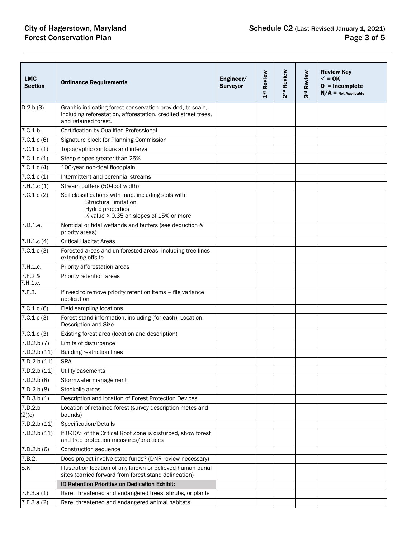# **City of Hagerstown, Maryland Forest Conservation Plan**

| <b>LMC</b><br><b>Section</b> | <b>Ordinance Requirements</b>                                                                                                                        | Engineer/<br><b>Surveyor</b> | 1 <sup>st</sup> Review | 2 <sup>nd</sup> Review | Review<br>$\frac{1}{3}$ | <b>Review Key</b><br>$\checkmark$ = 0K<br>$0 = Incomplete$<br>$N/A$ = Not Applicable |
|------------------------------|------------------------------------------------------------------------------------------------------------------------------------------------------|------------------------------|------------------------|------------------------|-------------------------|--------------------------------------------------------------------------------------|
| D.2.b.(3)                    | Graphic indicating forest conservation provided, to scale,<br>including reforestation, afforestation, credited street trees,<br>and retained forest. |                              |                        |                        |                         |                                                                                      |
| 7.C.1.b.                     | Certification by Qualified Professional                                                                                                              |                              |                        |                        |                         |                                                                                      |
| 7.C.1.c(6)                   | Signature block for Planning Commission                                                                                                              |                              |                        |                        |                         |                                                                                      |
| 7.C.1.c(1)                   | Topographic contours and interval                                                                                                                    |                              |                        |                        |                         |                                                                                      |
| 7.C.1.c(1)                   | Steep slopes greater than 25%                                                                                                                        |                              |                        |                        |                         |                                                                                      |
| 7.C.1.c. (4)                 | 100-year non-tidal floodplain                                                                                                                        |                              |                        |                        |                         |                                                                                      |
| 7.C.1.c(1)                   | Intermittent and perennial streams                                                                                                                   |                              |                        |                        |                         |                                                                                      |
| 7.H.1.c(1)                   | Stream buffers (50-foot width)                                                                                                                       |                              |                        |                        |                         |                                                                                      |
| 7.C.1.c(2)                   | Soil classifications with map, including soils with:<br><b>Structural limitation</b><br>Hydric properties<br>K value > 0.35 on slopes of 15% or more |                              |                        |                        |                         |                                                                                      |
| 7.D.1.e.                     | Nontidal or tidal wetlands and buffers (see deduction &<br>priority areas)                                                                           |                              |                        |                        |                         |                                                                                      |
| 7.H.1.c. (4)                 | <b>Critical Habitat Areas</b>                                                                                                                        |                              |                        |                        |                         |                                                                                      |
| 7.C.1.c(3)                   | Forested areas and un-forested areas, including tree lines<br>extending offsite                                                                      |                              |                        |                        |                         |                                                                                      |
| 7.H.1.c.                     | Priority afforestation areas                                                                                                                         |                              |                        |                        |                         |                                                                                      |
| 7.F.2 &<br>7.H.1.c.          | Priority retention areas                                                                                                                             |                              |                        |                        |                         |                                                                                      |
| 7.F.3.                       | If need to remove priority retention items - file variance<br>application                                                                            |                              |                        |                        |                         |                                                                                      |
| 7.C.1.c(6)                   | Field sampling locations                                                                                                                             |                              |                        |                        |                         |                                                                                      |
| 7.0.1.c(3)                   | Forest stand information, including (for each): Location,<br>Description and Size                                                                    |                              |                        |                        |                         |                                                                                      |
| 7.C.1.c(3)                   | Existing forest area (location and description)                                                                                                      |                              |                        |                        |                         |                                                                                      |
| 7.D.2.b (7)                  | Limits of disturbance                                                                                                                                |                              |                        |                        |                         |                                                                                      |
| 7.D.2.b(11)                  | <b>Building restriction lines</b>                                                                                                                    |                              |                        |                        |                         |                                                                                      |
| 7.D.2.b(11)                  | <b>SRA</b>                                                                                                                                           |                              |                        |                        |                         |                                                                                      |
| 7.D.2.b(11)                  | Utility easements                                                                                                                                    |                              |                        |                        |                         |                                                                                      |
| 7.D.2.b (8)                  | Stormwater management                                                                                                                                |                              |                        |                        |                         |                                                                                      |
| 7.D.2.b (8)                  | Stockpile areas                                                                                                                                      |                              |                        |                        |                         |                                                                                      |
| 7.D.3.b(1)                   | Description and location of Forest Protection Devices                                                                                                |                              |                        |                        |                         |                                                                                      |
| 7.D.2.b<br>(2)(c)            | Location of retained forest (survey description metes and<br>bounds)                                                                                 |                              |                        |                        |                         |                                                                                      |
| 7.D.2.b(11)                  | Specification/Details                                                                                                                                |                              |                        |                        |                         |                                                                                      |
| 7.D.2.b(11)                  | If 0-30% of the Critical Root Zone is disturbed, show forest<br>and tree protection measures/practices                                               |                              |                        |                        |                         |                                                                                      |
| 7.D.2.b(6)                   | Construction sequence                                                                                                                                |                              |                        |                        |                         |                                                                                      |
| 7.B.2.                       | Does project involve state funds? (DNR review necessary)                                                                                             |                              |                        |                        |                         |                                                                                      |
| 5.K                          | Illustration location of any known or believed human burial<br>sites (carried forward from forest stand delineation)                                 |                              |                        |                        |                         |                                                                                      |
|                              | ID Retention Priorities on Dedication Exhibit:                                                                                                       |                              |                        |                        |                         |                                                                                      |
| 7.F.3.a(1)                   | Rare, threatened and endangered trees, shrubs, or plants                                                                                             |                              |                        |                        |                         |                                                                                      |
| 7.F.3.a(2)                   | Rare, threatened and endangered animal habitats                                                                                                      |                              |                        |                        |                         |                                                                                      |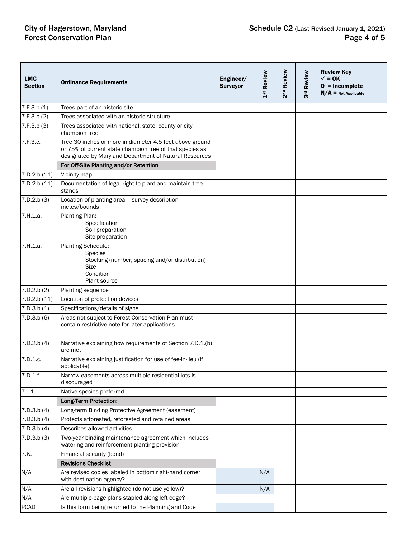# **City of Hagerstown, Maryland Forest Conservation Plan**

| <b>LMC</b><br><b>Section</b> | <b>Ordinance Requirements</b>                                                                                                                                                  | Engineer/<br><b>Surveyor</b> | 1 <sup>st</sup> Review | 2 <sup>nd</sup> Review | 3rd Review | <b>Review Key</b><br>$\checkmark$ = 0K<br>$0 = Incomplete$<br>$N/A$ = Not Applicable |
|------------------------------|--------------------------------------------------------------------------------------------------------------------------------------------------------------------------------|------------------------------|------------------------|------------------------|------------|--------------------------------------------------------------------------------------|
| 7.F.3.b(1)                   | Trees part of an historic site                                                                                                                                                 |                              |                        |                        |            |                                                                                      |
| 7.F.3.b(2)                   | Trees associated with an historic structure                                                                                                                                    |                              |                        |                        |            |                                                                                      |
| 7.F.3.b(3)                   | Trees associated with national, state, county or city<br>champion tree                                                                                                         |                              |                        |                        |            |                                                                                      |
| 7.F.3.c.                     | Tree 30 inches or more in diameter 4.5 feet above ground<br>or 75% of current state champion tree of that species as<br>designated by Maryland Department of Natural Resources |                              |                        |                        |            |                                                                                      |
|                              | For Off-Site Planting and/or Retention                                                                                                                                         |                              |                        |                        |            |                                                                                      |
| 7.D.2.b(11)                  | Vicinity map                                                                                                                                                                   |                              |                        |                        |            |                                                                                      |
| 7.D.2.b(11)                  | Documentation of legal right to plant and maintain tree<br>stands                                                                                                              |                              |                        |                        |            |                                                                                      |
| 7.D.2.b. (3)                 | Location of planting area - survey description<br>metes/bounds                                                                                                                 |                              |                        |                        |            |                                                                                      |
| 7.H.1.a.                     | Planting Plan:<br>Specification<br>Soil preparation<br>Site preparation                                                                                                        |                              |                        |                        |            |                                                                                      |
| 7.H.1.a.                     | Planting Schedule:<br><b>Species</b><br>Stocking (number, spacing and/or distribution)<br><b>Size</b><br>Condition<br><b>Plant source</b>                                      |                              |                        |                        |            |                                                                                      |
| 7.D.2.b (2)                  | Planting sequence                                                                                                                                                              |                              |                        |                        |            |                                                                                      |
| 7.D.2.b(11)                  | Location of protection devices                                                                                                                                                 |                              |                        |                        |            |                                                                                      |
| 7.D.3.b(1)                   | Specifications/details of signs                                                                                                                                                |                              |                        |                        |            |                                                                                      |
| 7.D.3.b(6)                   | Areas not subject to Forest Conservation Plan must<br>contain restrictive note for later applications                                                                          |                              |                        |                        |            |                                                                                      |
|                              |                                                                                                                                                                                |                              |                        |                        |            |                                                                                      |
| 7.D.2.b(4)                   | Narrative explaining how requirements of Section 7.D.1.(b)<br>are met                                                                                                          |                              |                        |                        |            |                                                                                      |
| 7.D.1.c.                     | Narrative explaining justification for use of fee-in-lieu (if<br>applicable)                                                                                                   |                              |                        |                        |            |                                                                                      |
| 7.D.1.f.                     | Narrow easements across multiple residential lots is<br>discouraged                                                                                                            |                              |                        |                        |            |                                                                                      |
| 7. J. 1.                     | Native species preferred                                                                                                                                                       |                              |                        |                        |            |                                                                                      |
|                              | Long-Term Protection:                                                                                                                                                          |                              |                        |                        |            |                                                                                      |
| 7.D.3.b. (4)                 | Long-term Binding Protective Agreement (easement)                                                                                                                              |                              |                        |                        |            |                                                                                      |
| 7.D.3.b. (4)                 | Protects afforested, reforested and retained areas                                                                                                                             |                              |                        |                        |            |                                                                                      |
| 7.D.3.b. (4)                 | Describes allowed activities                                                                                                                                                   |                              |                        |                        |            |                                                                                      |
| 7.D.3.b. (3)                 | Two-year binding maintenance agreement which includes<br>watering and reinforcement planting provision                                                                         |                              |                        |                        |            |                                                                                      |
| 7.K.                         | Financial security (bond)                                                                                                                                                      |                              |                        |                        |            |                                                                                      |
|                              | <b>Revisions Checklist</b>                                                                                                                                                     |                              |                        |                        |            |                                                                                      |
| N/A                          | Are revised copies labeled in bottom right-hand corner<br>with destination agency?                                                                                             |                              | N/A                    |                        |            |                                                                                      |
| N/A                          | Are all revisions highlighted (do not use yellow)?                                                                                                                             |                              | N/A                    |                        |            |                                                                                      |
| N/A                          | Are multiple-page plans stapled along left edge?                                                                                                                               |                              |                        |                        |            |                                                                                      |
| <b>PCAD</b>                  | Is this form being returned to the Planning and Code                                                                                                                           |                              |                        |                        |            |                                                                                      |